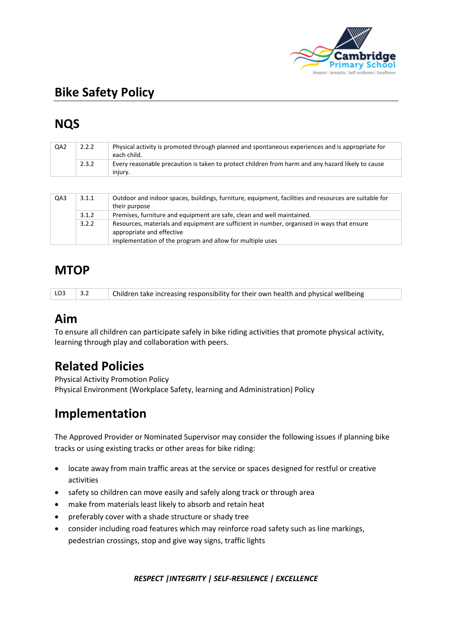

# **Bike Safety Policy**

# **NQS**

| QA <sub>2</sub> | 2.2.2 | Physical activity is promoted through planned and spontaneous experiences and is appropriate for<br>each child. |
|-----------------|-------|-----------------------------------------------------------------------------------------------------------------|
|                 | 2.3.2 | Every reasonable precaution is taken to protect children from harm and any hazard likely to cause<br>iniurv.    |
|                 |       |                                                                                                                 |
| OA3             | 3.1.1 | Outdoor and indoor spaces, buildings, furniture, equipment, facilities and resources are suitable for           |

| QA3 | 3.1.1 | Outdoor and indoor spaces, buildings, furniture, equipment, facilities and resources are suitable for<br>their purpose  |  |  |
|-----|-------|-------------------------------------------------------------------------------------------------------------------------|--|--|
|     | 3.1.2 | Premises, furniture and equipment are safe, clean and well maintained.                                                  |  |  |
|     | 3.2.2 | Resources, materials and equipment are sufficient in number, organised in ways that ensure<br>appropriate and effective |  |  |
|     |       | implementation of the program and allow for multiple uses                                                               |  |  |

## **MTOP**

| LO3 | Children take increasing responsibility for their own health and physical wellbeing |
|-----|-------------------------------------------------------------------------------------|
|     |                                                                                     |

### **Aim**

To ensure all children can participate safely in bike riding activities that promote physical activity, learning through play and collaboration with peers.

## **Related Policies**

Physical Activity Promotion Policy Physical Environment (Workplace Safety, learning and Administration) Policy

## **Implementation**

The Approved Provider or Nominated Supervisor may consider the following issues if planning bike tracks or using existing tracks or other areas for bike riding:

- locate away from main traffic areas at the service or spaces designed for restful or creative activities
- safety so children can move easily and safely along track or through area
- make from materials least likely to absorb and retain heat
- preferably cover with a shade structure or shady tree
- consider including road features which may reinforce road safety such as line markings, pedestrian crossings, stop and give way signs, traffic lights

#### *RESPECT |INTEGRITY | SELF-RESILENCE | EXCELLENCE*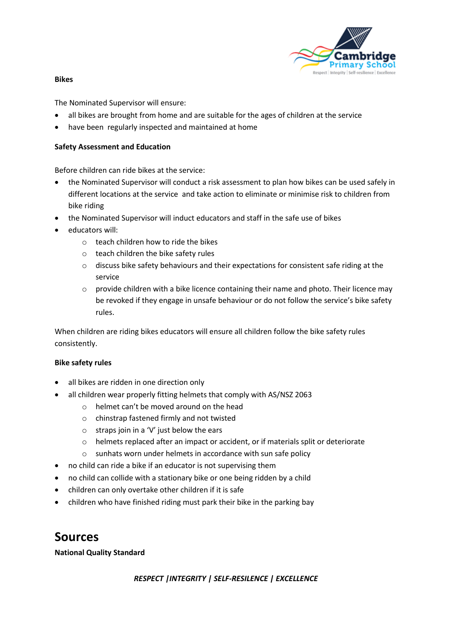

#### **Bikes**

The Nominated Supervisor will ensure:

- all bikes are brought from home and are suitable for the ages of children at the service
- have been regularly inspected and maintained at home

#### **Safety Assessment and Education**

Before children can ride bikes at the service:

- the Nominated Supervisor will conduct a risk assessment to plan how bikes can be used safely in different locations at the service and take action to eliminate or minimise risk to children from bike riding
- the Nominated Supervisor will induct educators and staff in the safe use of bikes
- educators will:
	- o teach children how to ride the bikes
	- o teach children the bike safety rules
	- $\circ$  discuss bike safety behaviours and their expectations for consistent safe riding at the service
	- o provide children with a bike licence containing their name and photo. Their licence may be revoked if they engage in unsafe behaviour or do not follow the service's bike safety rules.

When children are riding bikes educators will ensure all children follow the bike safety rules consistently.

#### **Bike safety rules**

- all bikes are ridden in one direction only
- all children wear properly fitting helmets that comply with AS/NSZ 2063
	- o helmet can't be moved around on the head
	- o chinstrap fastened firmly and not twisted
	- $\circ$  straps join in a 'V' just below the ears
	- o helmets replaced after an impact or accident, or if materials split or deteriorate
	- o sunhats worn under helmets in accordance with sun safe policy
- no child can ride a bike if an educator is not supervising them
- no child can collide with a stationary bike or one being ridden by a child
- children can only overtake other children if it is safe
- children who have finished riding must park their bike in the parking bay

### **Sources**

#### **National Quality Standard**

#### *RESPECT |INTEGRITY | SELF-RESILENCE | EXCELLENCE*